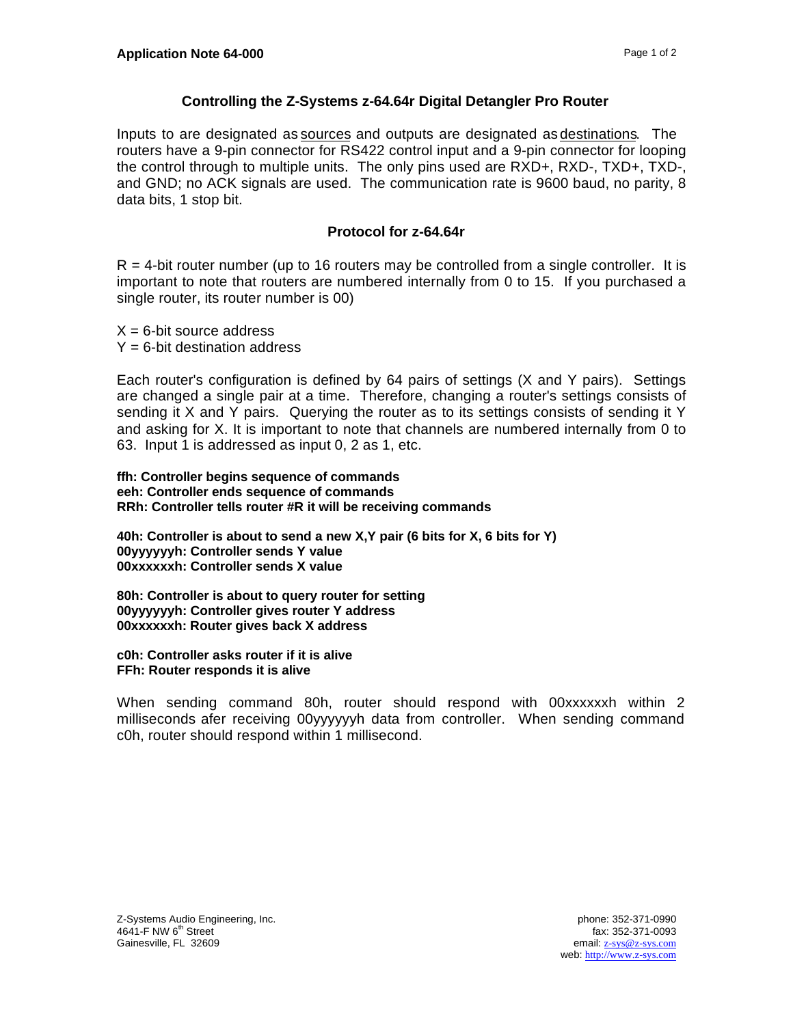## **Controlling the Z-Systems z-64.64r Digital Detangler Pro Router**

Inputs to are designated as sources and outputs are designated as destinations. The routers have a 9-pin connector for RS422 control input and a 9-pin connector for looping the control through to multiple units. The only pins used are RXD+, RXD-, TXD+, TXD-, and GND; no ACK signals are used. The communication rate is 9600 baud, no parity, 8 data bits, 1 stop bit.

## **Protocol for z-64.64r**

 $R = 4$ -bit router number (up to 16 routers may be controlled from a single controller. It is important to note that routers are numbered internally from 0 to 15. If you purchased a single router, its router number is 00)

 $X = 6$ -bit source address  $Y = 6$ -bit destination address

Each router's configuration is defined by 64 pairs of settings (X and Y pairs). Settings are changed a single pair at a time. Therefore, changing a router's settings consists of sending it X and Y pairs. Querying the router as to its settings consists of sending it Y and asking for X. It is important to note that channels are numbered internally from 0 to 63. Input 1 is addressed as input 0, 2 as 1, etc.

**ffh: Controller begins sequence of commands eeh: Controller ends sequence of commands RRh: Controller tells router #R it will be receiving commands**

**40h: Controller is about to send a new X,Y pair (6 bits for X, 6 bits for Y) 00yyyyyyh: Controller sends Y value 00xxxxxxh: Controller sends X value**

**80h: Controller is about to query router for setting 00yyyyyyh: Controller gives router Y address 00xxxxxxh: Router gives back X address**

**c0h: Controller asks router if it is alive FFh: Router responds it is alive**

When sending command 80h, router should respond with 00xxxxxxh within 2 milliseconds afer receiving 00yyyyyyh data from controller. When sending command c0h, router should respond within 1 millisecond.